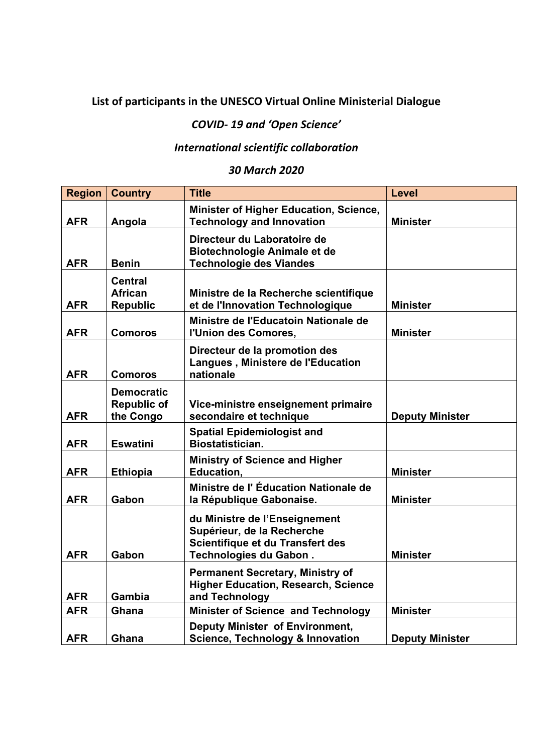## **List of participants in the UNESCO Virtual Online Ministerial Dialogue**

## *COVID‐ 19 and 'Open Science'*

## *International scientific collaboration*

## *30 March 2020*

| <b>Region</b> | <b>Country</b>                                       | <b>Title</b>                                                                                                              | <b>Level</b>           |
|---------------|------------------------------------------------------|---------------------------------------------------------------------------------------------------------------------------|------------------------|
| <b>AFR</b>    | Angola                                               | Minister of Higher Education, Science,<br><b>Technology and Innovation</b>                                                | <b>Minister</b>        |
| <b>AFR</b>    | <b>Benin</b>                                         | Directeur du Laboratoire de<br><b>Biotechnologie Animale et de</b><br><b>Technologie des Viandes</b>                      |                        |
| <b>AFR</b>    | <b>Central</b><br><b>African</b><br><b>Republic</b>  | Ministre de la Recherche scientifique<br>et de l'Innovation Technologique                                                 | <b>Minister</b>        |
| <b>AFR</b>    | <b>Comoros</b>                                       | Ministre de l'Educatoin Nationale de<br>l'Union des Comores,                                                              | <b>Minister</b>        |
| <b>AFR</b>    | <b>Comoros</b>                                       | Directeur de la promotion des<br>Langues, Ministere de l'Education<br>nationale                                           |                        |
| <b>AFR</b>    | <b>Democratic</b><br><b>Republic of</b><br>the Congo | Vice-ministre enseignement primaire<br>secondaire et technique                                                            | <b>Deputy Minister</b> |
| <b>AFR</b>    | <b>Eswatini</b>                                      | <b>Spatial Epidemiologist and</b><br>Biostatistician.                                                                     |                        |
| <b>AFR</b>    | <b>Ethiopia</b>                                      | <b>Ministry of Science and Higher</b><br><b>Education,</b>                                                                | <b>Minister</b>        |
| <b>AFR</b>    | Gabon                                                | Ministre de l'Éducation Nationale de<br>la République Gabonaise.                                                          | <b>Minister</b>        |
| <b>AFR</b>    | Gabon                                                | du Ministre de l'Enseignement<br>Supérieur, de la Recherche<br>Scientifique et du Transfert des<br>Technologies du Gabon. | <b>Minister</b>        |
| <b>AFR</b>    | Gambia                                               | <b>Permanent Secretary, Ministry of</b><br><b>Higher Education, Research, Science</b><br>and Technology                   |                        |
| <b>AFR</b>    | Ghana                                                | <b>Minister of Science and Technology</b>                                                                                 | <b>Minister</b>        |
| <b>AFR</b>    | Ghana                                                | Deputy Minister of Environment,<br><b>Science, Technology &amp; Innovation</b>                                            | <b>Deputy Minister</b> |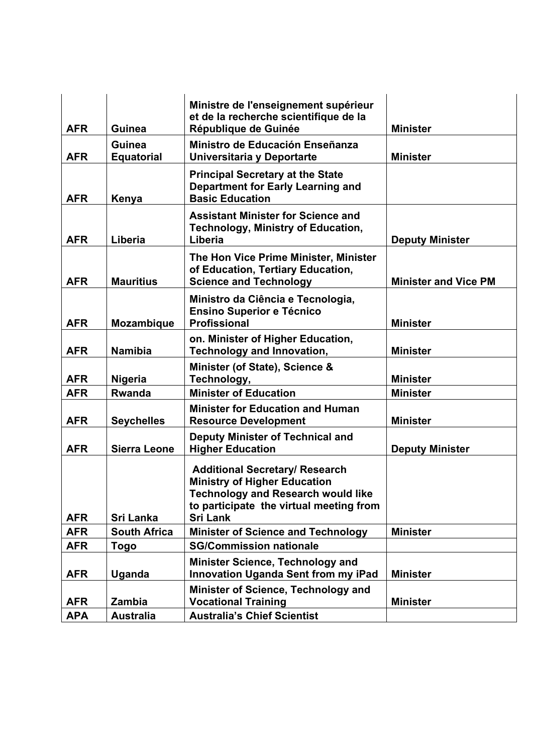| <b>AFR</b> | <b>Guinea</b>               | Ministre de l'enseignement supérieur<br>et de la recherche scientifique de la<br>République de Guinée                                                                                   | <b>Minister</b>             |
|------------|-----------------------------|-----------------------------------------------------------------------------------------------------------------------------------------------------------------------------------------|-----------------------------|
|            |                             |                                                                                                                                                                                         |                             |
| <b>AFR</b> | Guinea<br><b>Equatorial</b> | Ministro de Educación Enseñanza<br>Universitaria y Deportarte                                                                                                                           | <b>Minister</b>             |
| <b>AFR</b> | Kenya                       | <b>Principal Secretary at the State</b><br>Department for Early Learning and<br><b>Basic Education</b>                                                                                  |                             |
| <b>AFR</b> | Liberia                     | <b>Assistant Minister for Science and</b><br><b>Technology, Ministry of Education,</b><br>Liberia                                                                                       | <b>Deputy Minister</b>      |
| <b>AFR</b> | <b>Mauritius</b>            | The Hon Vice Prime Minister, Minister<br>of Education, Tertiary Education,<br><b>Science and Technology</b>                                                                             | <b>Minister and Vice PM</b> |
| <b>AFR</b> | <b>Mozambique</b>           | Ministro da Ciência e Tecnologia,<br><b>Ensino Superior e Técnico</b><br><b>Profissional</b>                                                                                            | <b>Minister</b>             |
| <b>AFR</b> | <b>Namibia</b>              | on. Minister of Higher Education,<br><b>Technology and Innovation,</b>                                                                                                                  | <b>Minister</b>             |
| <b>AFR</b> | <b>Nigeria</b>              | Minister (of State), Science &<br>Technology,                                                                                                                                           | <b>Minister</b>             |
| <b>AFR</b> | <b>Rwanda</b>               | <b>Minister of Education</b>                                                                                                                                                            | <b>Minister</b>             |
| <b>AFR</b> | <b>Seychelles</b>           | <b>Minister for Education and Human</b><br><b>Resource Development</b>                                                                                                                  | <b>Minister</b>             |
| <b>AFR</b> | <b>Sierra Leone</b>         | <b>Deputy Minister of Technical and</b><br><b>Higher Education</b>                                                                                                                      | <b>Deputy Minister</b>      |
| <b>AFR</b> | Sri Lanka                   | <b>Additional Secretary/ Research</b><br><b>Ministry of Higher Education</b><br><b>Technology and Research would like</b><br>to participate the virtual meeting from<br><b>Sri Lank</b> |                             |
| <b>AFR</b> | <b>South Africa</b>         | <b>Minister of Science and Technology</b>                                                                                                                                               | <b>Minister</b>             |
| <b>AFR</b> | Togo                        | <b>SG/Commission nationale</b>                                                                                                                                                          |                             |
|            |                             | <b>Minister Science, Technology and</b>                                                                                                                                                 |                             |
| <b>AFR</b> | Uganda                      | <b>Innovation Uganda Sent from my iPad</b>                                                                                                                                              | <b>Minister</b>             |
| <b>AFR</b> | Zambia                      | Minister of Science, Technology and<br><b>Vocational Training</b>                                                                                                                       | <b>Minister</b>             |
| <b>APA</b> | <b>Australia</b>            | <b>Australia's Chief Scientist</b>                                                                                                                                                      |                             |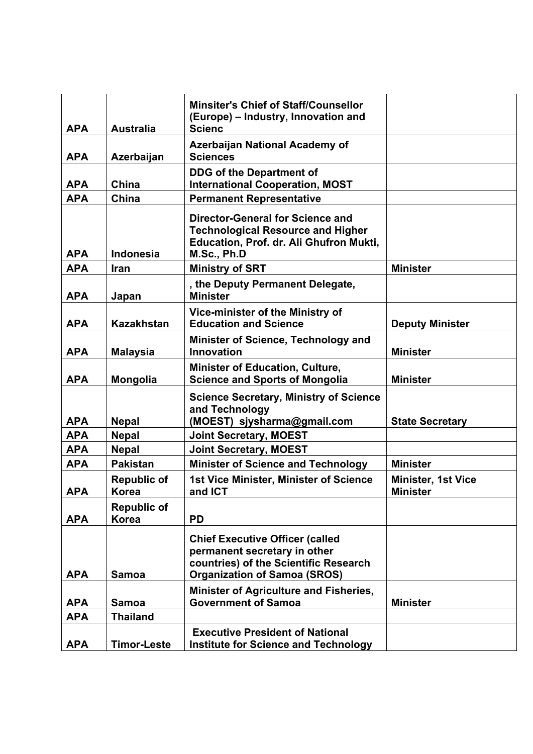|            |                                    | <b>Minsiter's Chief of Staff/Counsellor</b><br>(Europe) - Industry, Innovation and                                                            |                                              |
|------------|------------------------------------|-----------------------------------------------------------------------------------------------------------------------------------------------|----------------------------------------------|
| <b>APA</b> | <b>Australia</b>                   | <b>Scienc</b>                                                                                                                                 |                                              |
| <b>APA</b> | Azerbaijan                         | <b>Azerbaijan National Academy of</b><br><b>Sciences</b>                                                                                      |                                              |
| <b>APA</b> | China                              | <b>DDG of the Department of</b><br><b>International Cooperation, MOST</b>                                                                     |                                              |
| <b>APA</b> | China                              | <b>Permanent Representative</b>                                                                                                               |                                              |
| <b>APA</b> | <b>Indonesia</b>                   | <b>Director-General for Science and</b><br><b>Technological Resource and Higher</b><br>Education, Prof. dr. Ali Ghufron Mukti,<br>M.Sc., Ph.D |                                              |
| <b>APA</b> | Iran                               | <b>Ministry of SRT</b>                                                                                                                        | <b>Minister</b>                              |
| <b>APA</b> | Japan                              | , the Deputy Permanent Delegate,<br><b>Minister</b>                                                                                           |                                              |
| <b>APA</b> | <b>Kazakhstan</b>                  | Vice-minister of the Ministry of<br><b>Education and Science</b>                                                                              | <b>Deputy Minister</b>                       |
| <b>APA</b> | <b>Malaysia</b>                    | Minister of Science, Technology and<br><b>Innovation</b>                                                                                      | <b>Minister</b>                              |
| <b>APA</b> | Mongolia                           | <b>Minister of Education, Culture,</b><br><b>Science and Sports of Mongolia</b>                                                               | <b>Minister</b>                              |
| <b>APA</b> | <b>Nepal</b>                       | <b>Science Secretary, Ministry of Science</b><br>and Technology<br>(MOEST) sjysharma@gmail.com                                                | <b>State Secretary</b>                       |
| <b>APA</b> | <b>Nepal</b>                       | <b>Joint Secretary, MOEST</b>                                                                                                                 |                                              |
| <b>APA</b> | <b>Nepal</b>                       | <b>Joint Secretary, MOEST</b>                                                                                                                 |                                              |
| <b>APA</b> | <b>Pakistan</b>                    | <b>Minister of Science and Technology</b>                                                                                                     | <b>Minister</b>                              |
| <b>APA</b> | <b>Republic of</b><br><b>Korea</b> | <b>1st Vice Minister, Minister of Science</b><br>and ICT                                                                                      | <b>Minister, 1st Vice</b><br><b>Minister</b> |
| <b>APA</b> | <b>Republic of</b><br><b>Korea</b> | <b>PD</b>                                                                                                                                     |                                              |
|            |                                    | <b>Chief Executive Officer (called</b><br>permanent secretary in other<br>countries) of the Scientific Research                               |                                              |
| <b>APA</b> | <b>Samoa</b>                       | <b>Organization of Samoa (SROS)</b>                                                                                                           |                                              |
| <b>APA</b> | <b>Samoa</b>                       | Minister of Agriculture and Fisheries,<br><b>Government of Samoa</b>                                                                          | <b>Minister</b>                              |
| <b>APA</b> | <b>Thailand</b>                    |                                                                                                                                               |                                              |
| <b>APA</b> | <b>Timor-Leste</b>                 | <b>Executive President of National</b><br><b>Institute for Science and Technology</b>                                                         |                                              |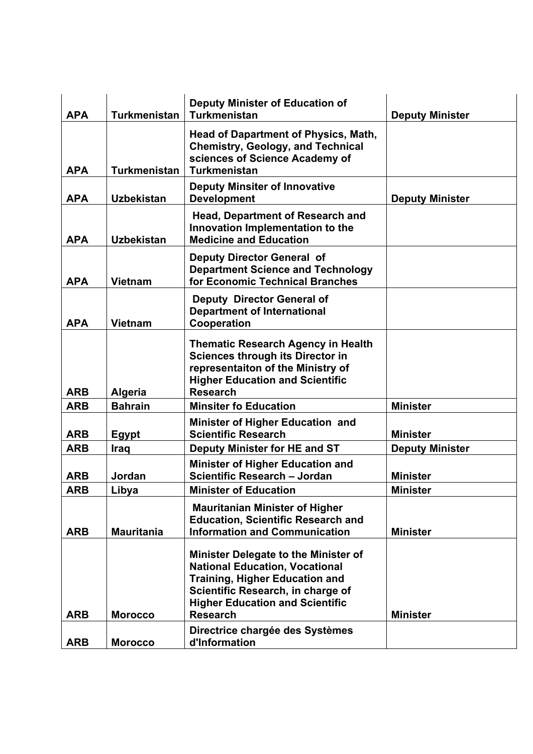| <b>APA</b> | <b>Turkmenistan</b> | <b>Deputy Minister of Education of</b><br><b>Turkmenistan</b>                                                                                                                                                                   | <b>Deputy Minister</b> |
|------------|---------------------|---------------------------------------------------------------------------------------------------------------------------------------------------------------------------------------------------------------------------------|------------------------|
| <b>APA</b> | <b>Turkmenistan</b> | <b>Head of Dapartment of Physics, Math,</b><br><b>Chemistry, Geology, and Technical</b><br>sciences of Science Academy of<br><b>Turkmenistan</b>                                                                                |                        |
| <b>APA</b> | <b>Uzbekistan</b>   | <b>Deputy Minsiter of Innovative</b><br><b>Development</b>                                                                                                                                                                      | <b>Deputy Minister</b> |
| <b>APA</b> | <b>Uzbekistan</b>   | <b>Head, Department of Research and</b><br>Innovation Implementation to the<br><b>Medicine and Education</b>                                                                                                                    |                        |
| <b>APA</b> | <b>Vietnam</b>      | <b>Deputy Director General of</b><br><b>Department Science and Technology</b><br>for Economic Technical Branches                                                                                                                |                        |
| <b>APA</b> | <b>Vietnam</b>      | Deputy Director General of<br><b>Department of International</b><br>Cooperation                                                                                                                                                 |                        |
| <b>ARB</b> | <b>Algeria</b>      | <b>Thematic Research Agency in Health</b><br><b>Sciences through its Director in</b><br>representaiton of the Ministry of<br><b>Higher Education and Scientific</b><br><b>Research</b>                                          |                        |
| <b>ARB</b> | <b>Bahrain</b>      | <b>Minsiter fo Education</b>                                                                                                                                                                                                    | <b>Minister</b>        |
| <b>ARB</b> | <b>Egypt</b>        | Minister of Higher Education and<br><b>Scientific Research</b>                                                                                                                                                                  | <b>Minister</b>        |
| <b>ARB</b> | <b>Iraq</b>         | Deputy Minister for HE and ST                                                                                                                                                                                                   | <b>Deputy Minister</b> |
| <b>ARB</b> | Jordan              | <b>Minister of Higher Education and</b><br>Scientific Research - Jordan                                                                                                                                                         | <b>Minister</b>        |
| <b>ARB</b> | Libya               | <b>Minister of Education</b>                                                                                                                                                                                                    | <b>Minister</b>        |
| <b>ARB</b> | <b>Mauritania</b>   | <b>Mauritanian Minister of Higher</b><br><b>Education, Scientific Research and</b><br><b>Information and Communication</b>                                                                                                      | <b>Minister</b>        |
| <b>ARB</b> | <b>Morocco</b>      | <b>Minister Delegate to the Minister of</b><br><b>National Education, Vocational</b><br><b>Training, Higher Education and</b><br>Scientific Research, in charge of<br><b>Higher Education and Scientific</b><br><b>Research</b> | <b>Minister</b>        |
| <b>ARB</b> | <b>Morocco</b>      | Directrice chargée des Systèmes<br>d'Information                                                                                                                                                                                |                        |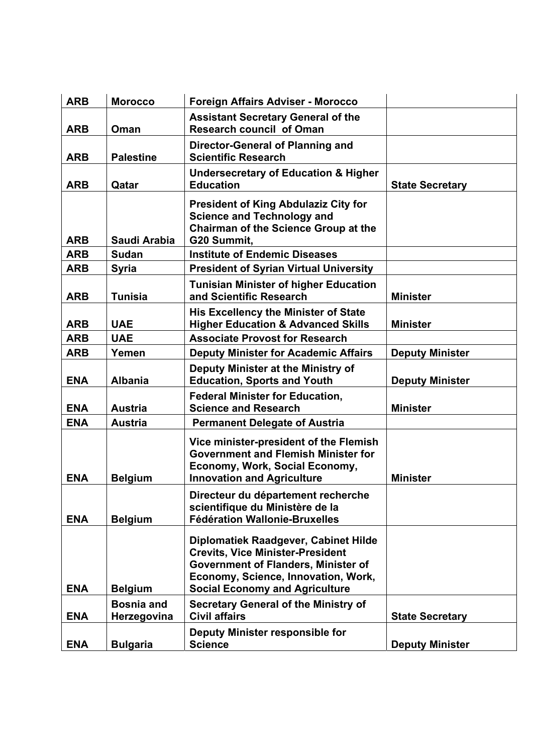| <b>ARB</b> | <b>Morocco</b>                   | <b>Foreign Affairs Adviser - Morocco</b>                                                                                                                                                                      |                        |
|------------|----------------------------------|---------------------------------------------------------------------------------------------------------------------------------------------------------------------------------------------------------------|------------------------|
| <b>ARB</b> | Oman                             | <b>Assistant Secretary General of the</b><br><b>Research council of Oman</b>                                                                                                                                  |                        |
| <b>ARB</b> | <b>Palestine</b>                 | Director-General of Planning and<br><b>Scientific Research</b>                                                                                                                                                |                        |
| <b>ARB</b> | Qatar                            | <b>Undersecretary of Education &amp; Higher</b><br><b>Education</b>                                                                                                                                           | <b>State Secretary</b> |
| <b>ARB</b> | Saudi Arabia                     | <b>President of King Abdulaziz City for</b><br><b>Science and Technology and</b><br><b>Chairman of the Science Group at the</b><br>G20 Summit,                                                                |                        |
| <b>ARB</b> | <b>Sudan</b>                     | <b>Institute of Endemic Diseases</b>                                                                                                                                                                          |                        |
| <b>ARB</b> | <b>Syria</b>                     | <b>President of Syrian Virtual University</b>                                                                                                                                                                 |                        |
| <b>ARB</b> | <b>Tunisia</b>                   | <b>Tunisian Minister of higher Education</b><br>and Scientific Research                                                                                                                                       | <b>Minister</b>        |
| <b>ARB</b> | <b>UAE</b>                       | <b>His Excellency the Minister of State</b><br><b>Higher Education &amp; Advanced Skills</b>                                                                                                                  | <b>Minister</b>        |
| <b>ARB</b> | <b>UAE</b>                       | <b>Associate Provost for Research</b>                                                                                                                                                                         |                        |
| <b>ARB</b> | Yemen                            | <b>Deputy Minister for Academic Affairs</b>                                                                                                                                                                   | <b>Deputy Minister</b> |
| <b>ENA</b> | <b>Albania</b>                   | Deputy Minister at the Ministry of<br><b>Education, Sports and Youth</b>                                                                                                                                      | <b>Deputy Minister</b> |
| <b>ENA</b> | <b>Austria</b>                   | <b>Federal Minister for Education,</b><br><b>Science and Research</b>                                                                                                                                         | <b>Minister</b>        |
| <b>ENA</b> | <b>Austria</b>                   | <b>Permanent Delegate of Austria</b>                                                                                                                                                                          |                        |
| <b>ENA</b> | <b>Belgium</b>                   | Vice minister-president of the Flemish<br><b>Government and Flemish Minister for</b><br>Economy, Work, Social Economy,<br><b>Innovation and Agriculture</b>                                                   | <b>Minister</b>        |
| <b>ENA</b> | <b>Belgium</b>                   | Directeur du département recherche<br>scientifique du Ministère de la<br><b>Fédération Wallonie-Bruxelles</b>                                                                                                 |                        |
| <b>ENA</b> | <b>Belgium</b>                   | Diplomatiek Raadgever, Cabinet Hilde<br><b>Crevits, Vice Minister-President</b><br><b>Government of Flanders, Minister of</b><br>Economy, Science, Innovation, Work,<br><b>Social Economy and Agriculture</b> |                        |
| <b>ENA</b> | <b>Bosnia and</b><br>Herzegovina | <b>Secretary General of the Ministry of</b><br><b>Civil affairs</b>                                                                                                                                           | <b>State Secretary</b> |
| <b>ENA</b> | <b>Bulgaria</b>                  | Deputy Minister responsible for<br><b>Science</b>                                                                                                                                                             | <b>Deputy Minister</b> |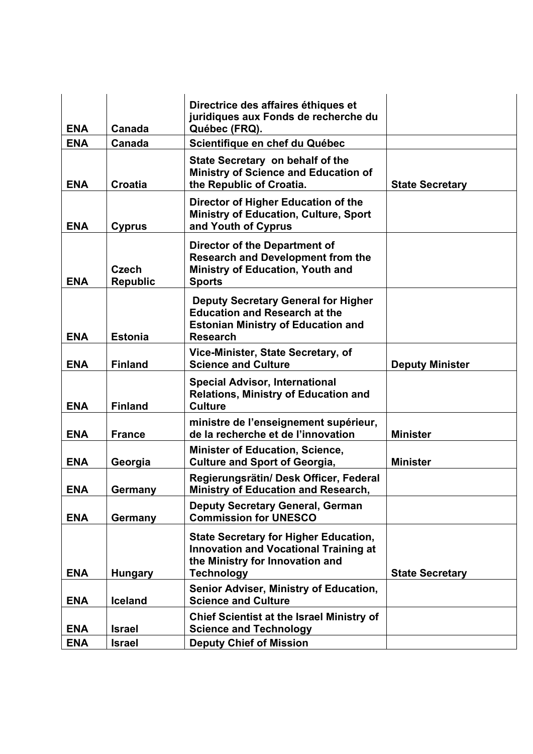| <b>ENA</b> | Canada                          | Directrice des affaires éthiques et<br>juridiques aux Fonds de recherche du<br>Québec (FRQ).                                                         |                        |
|------------|---------------------------------|------------------------------------------------------------------------------------------------------------------------------------------------------|------------------------|
| <b>ENA</b> | Canada                          | Scientifique en chef du Québec                                                                                                                       |                        |
| <b>ENA</b> | <b>Croatia</b>                  | State Secretary on behalf of the<br><b>Ministry of Science and Education of</b><br>the Republic of Croatia.                                          | <b>State Secretary</b> |
| <b>ENA</b> | <b>Cyprus</b>                   | Director of Higher Education of the<br><b>Ministry of Education, Culture, Sport</b><br>and Youth of Cyprus                                           |                        |
| <b>ENA</b> | <b>Czech</b><br><b>Republic</b> | <b>Director of the Department of</b><br><b>Research and Development from the</b><br><b>Ministry of Education, Youth and</b><br><b>Sports</b>         |                        |
| <b>ENA</b> | <b>Estonia</b>                  | <b>Deputy Secretary General for Higher</b><br><b>Education and Research at the</b><br><b>Estonian Ministry of Education and</b><br><b>Research</b>   |                        |
| <b>ENA</b> | <b>Finland</b>                  | Vice-Minister, State Secretary, of<br><b>Science and Culture</b>                                                                                     | <b>Deputy Minister</b> |
| <b>ENA</b> | <b>Finland</b>                  | <b>Special Advisor, International</b><br><b>Relations, Ministry of Education and</b><br><b>Culture</b>                                               |                        |
| <b>ENA</b> | <b>France</b>                   | ministre de l'enseignement supérieur,<br>de la recherche et de l'innovation                                                                          | <b>Minister</b>        |
| <b>ENA</b> | Georgia                         | <b>Minister of Education, Science,</b><br><b>Culture and Sport of Georgia,</b>                                                                       | <b>Minister</b>        |
| <b>ENA</b> | Germany                         | Regierungsrätin/ Desk Officer, Federal<br><b>Ministry of Education and Research,</b>                                                                 |                        |
| <b>ENA</b> | Germany                         | <b>Deputy Secretary General, German</b><br><b>Commission for UNESCO</b>                                                                              |                        |
| <b>ENA</b> | <b>Hungary</b>                  | <b>State Secretary for Higher Education,</b><br><b>Innovation and Vocational Training at</b><br>the Ministry for Innovation and<br><b>Technology</b> | <b>State Secretary</b> |
|            |                                 |                                                                                                                                                      |                        |
| <b>ENA</b> | <b>Iceland</b>                  | Senior Adviser, Ministry of Education,<br><b>Science and Culture</b>                                                                                 |                        |
| <b>ENA</b> | <b>Israel</b>                   | <b>Chief Scientist at the Israel Ministry of</b><br><b>Science and Technology</b>                                                                    |                        |
| <b>ENA</b> | <b>Israel</b>                   | <b>Deputy Chief of Mission</b>                                                                                                                       |                        |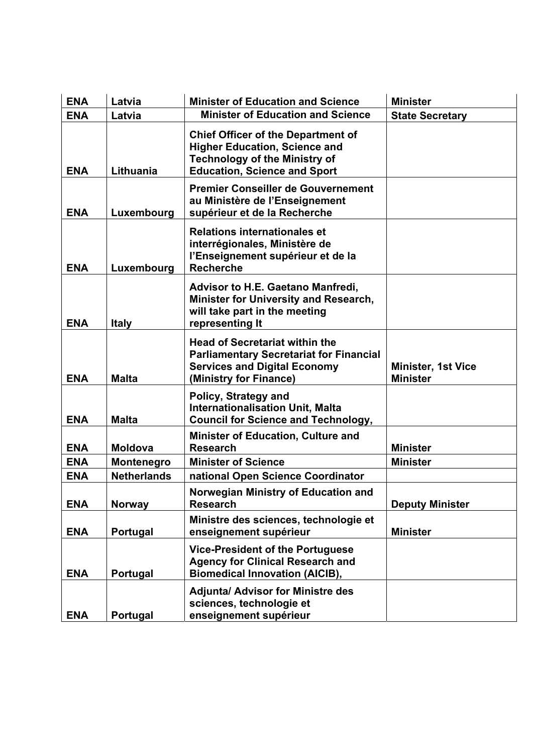| <b>ENA</b> | Latvia             | <b>Minister of Education and Science</b>                                                                                                                         | <b>Minister</b>                              |
|------------|--------------------|------------------------------------------------------------------------------------------------------------------------------------------------------------------|----------------------------------------------|
| <b>ENA</b> | Latvia             | <b>Minister of Education and Science</b>                                                                                                                         | <b>State Secretary</b>                       |
| <b>ENA</b> | Lithuania          | <b>Chief Officer of the Department of</b><br><b>Higher Education, Science and</b><br><b>Technology of the Ministry of</b><br><b>Education, Science and Sport</b> |                                              |
| <b>ENA</b> | Luxembourg         | <b>Premier Conseiller de Gouvernement</b><br>au Ministère de l'Enseignement<br>supérieur et de la Recherche                                                      |                                              |
| <b>ENA</b> | Luxembourg         | <b>Relations internationales et</b><br>interrégionales, Ministère de<br>l'Enseignement supérieur et de la<br><b>Recherche</b>                                    |                                              |
| <b>ENA</b> | <b>Italy</b>       | <b>Advisor to H.E. Gaetano Manfredi,</b><br>Minister for University and Research,<br>will take part in the meeting<br>representing It                            |                                              |
| <b>ENA</b> | <b>Malta</b>       | <b>Head of Secretariat within the</b><br><b>Parliamentary Secretariat for Financial</b><br><b>Services and Digital Economy</b><br>(Ministry for Finance)         | <b>Minister, 1st Vice</b><br><b>Minister</b> |
| <b>ENA</b> | <b>Malta</b>       | Policy, Strategy and<br><b>Internationalisation Unit, Malta</b><br><b>Council for Science and Technology,</b>                                                    |                                              |
| <b>ENA</b> | <b>Moldova</b>     | <b>Minister of Education, Culture and</b><br><b>Research</b>                                                                                                     | <b>Minister</b>                              |
| <b>ENA</b> | Montenegro         | <b>Minister of Science</b>                                                                                                                                       | <b>Minister</b>                              |
| <b>ENA</b> | <b>Netherlands</b> | national Open Science Coordinator                                                                                                                                |                                              |
| <b>ENA</b> | <b>Norway</b>      | Norwegian Ministry of Education and<br><b>Research</b>                                                                                                           | <b>Deputy Minister</b>                       |
| <b>ENA</b> | Portugal           | Ministre des sciences, technologie et<br>enseignement supérieur                                                                                                  | <b>Minister</b>                              |
| <b>ENA</b> | Portugal           | <b>Vice-President of the Portuguese</b><br><b>Agency for Clinical Research and</b><br><b>Biomedical Innovation (AICIB),</b>                                      |                                              |
| <b>ENA</b> | Portugal           | <b>Adjunta/ Advisor for Ministre des</b><br>sciences, technologie et<br>enseignement supérieur                                                                   |                                              |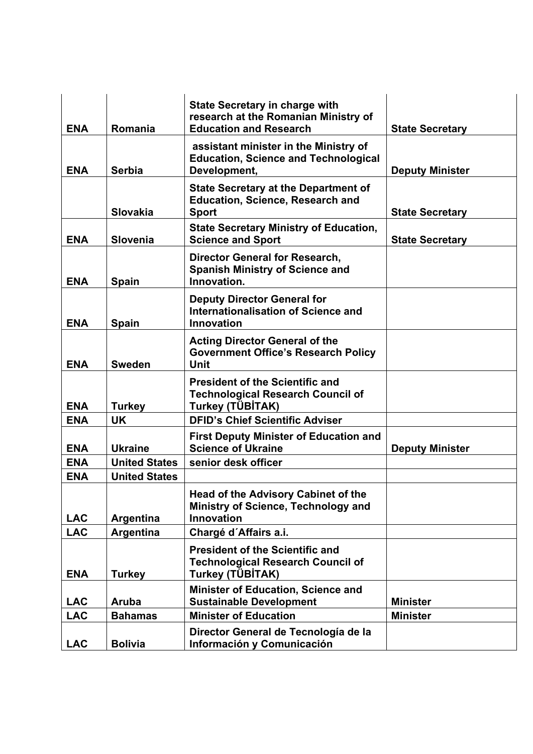| <b>ENA</b> | Romania              | <b>State Secretary in charge with</b><br>research at the Romanian Ministry of<br><b>Education and Research</b> | <b>State Secretary</b> |
|------------|----------------------|----------------------------------------------------------------------------------------------------------------|------------------------|
| <b>ENA</b> | <b>Serbia</b>        | assistant minister in the Ministry of<br><b>Education, Science and Technological</b><br>Development,           | <b>Deputy Minister</b> |
|            | <b>Slovakia</b>      | <b>State Secretary at the Department of</b><br><b>Education, Science, Research and</b><br><b>Sport</b>         | <b>State Secretary</b> |
| <b>ENA</b> | <b>Slovenia</b>      | <b>State Secretary Ministry of Education,</b><br><b>Science and Sport</b>                                      | <b>State Secretary</b> |
| <b>ENA</b> | Spain                | <b>Director General for Research,</b><br><b>Spanish Ministry of Science and</b><br>Innovation.                 |                        |
| <b>ENA</b> | <b>Spain</b>         | <b>Deputy Director General for</b><br>Internationalisation of Science and<br>Innovation                        |                        |
| <b>ENA</b> | <b>Sweden</b>        | <b>Acting Director General of the</b><br><b>Government Office's Research Policy</b><br><b>Unit</b>             |                        |
| <b>ENA</b> | <b>Turkey</b>        | <b>President of the Scientific and</b><br><b>Technological Research Council of</b><br>Turkey (TÜBİTAK)         |                        |
| <b>ENA</b> | <b>UK</b>            | <b>DFID's Chief Scientific Adviser</b>                                                                         |                        |
| <b>ENA</b> | <b>Ukraine</b>       | <b>First Deputy Minister of Education and</b><br><b>Science of Ukraine</b>                                     | <b>Deputy Minister</b> |
| <b>ENA</b> | <b>United States</b> | senior desk officer                                                                                            |                        |
| <b>ENA</b> | <b>United States</b> |                                                                                                                |                        |
| <b>LAC</b> | Argentina            | Head of the Advisory Cabinet of the<br>Ministry of Science, Technology and<br>Innovation                       |                        |
| <b>LAC</b> | Argentina            | Chargé d'Affairs a.i.                                                                                          |                        |
| <b>ENA</b> | <b>Turkey</b>        | <b>President of the Scientific and</b><br><b>Technological Research Council of</b><br>Turkey (TÜBİTAK)         |                        |
| <b>LAC</b> | Aruba                | <b>Minister of Education, Science and</b><br><b>Sustainable Development</b>                                    | <b>Minister</b>        |
| <b>LAC</b> | <b>Bahamas</b>       | <b>Minister of Education</b>                                                                                   | <b>Minister</b>        |
| <b>LAC</b> | <b>Bolivia</b>       | Director General de Tecnología de la<br>Información y Comunicación                                             |                        |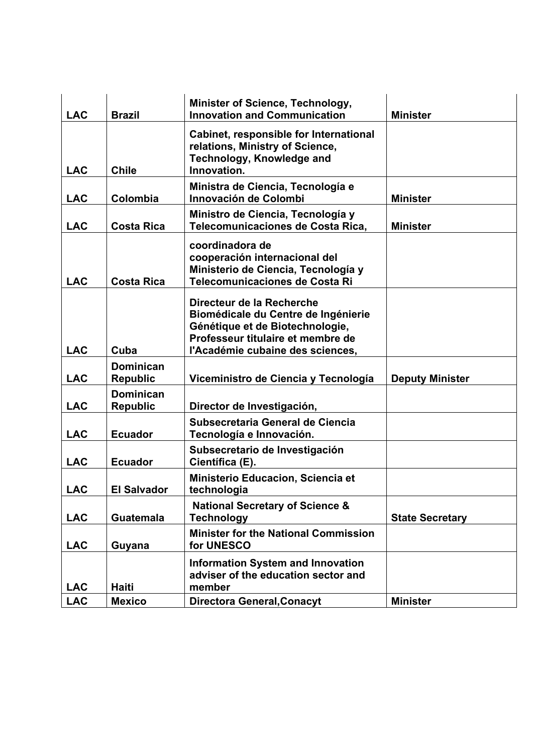| <b>LAC</b> | <b>Brazil</b>                       | <b>Minister of Science, Technology,</b><br><b>Innovation and Communication</b>                                                                                               | <b>Minister</b>        |
|------------|-------------------------------------|------------------------------------------------------------------------------------------------------------------------------------------------------------------------------|------------------------|
| <b>LAC</b> | <b>Chile</b>                        | Cabinet, responsible for International<br>relations, Ministry of Science,<br><b>Technology, Knowledge and</b><br>Innovation.                                                 |                        |
| <b>LAC</b> | Colombia                            | Ministra de Ciencia, Tecnología e<br>Innovación de Colombi                                                                                                                   | <b>Minister</b>        |
| <b>LAC</b> | <b>Costa Rica</b>                   | Ministro de Ciencia, Tecnología y<br>Telecomunicaciones de Costa Rica,                                                                                                       | <b>Minister</b>        |
| <b>LAC</b> | <b>Costa Rica</b>                   | coordinadora de<br>cooperación internacional del<br>Ministerio de Ciencia, Tecnología y<br>Telecomunicaciones de Costa Ri                                                    |                        |
| <b>LAC</b> | Cuba                                | Directeur de la Recherche<br>Biomédicale du Centre de Ingénierie<br>Génétique et de Biotechnologie,<br>Professeur titulaire et membre de<br>l'Académie cubaine des sciences, |                        |
| <b>LAC</b> | <b>Dominican</b><br><b>Republic</b> | Viceministro de Ciencia y Tecnología                                                                                                                                         | <b>Deputy Minister</b> |
| <b>LAC</b> | <b>Dominican</b><br><b>Republic</b> | Director de Investigación,                                                                                                                                                   |                        |
| <b>LAC</b> | <b>Ecuador</b>                      | Subsecretaria General de Ciencia<br>Tecnología e Innovación.                                                                                                                 |                        |
| <b>LAC</b> | <b>Ecuador</b>                      | Subsecretario de Investigación<br>Científica (E).                                                                                                                            |                        |
| <b>LAC</b> | <b>El Salvador</b>                  | Ministerio Educacion, Sciencia et<br>technologia                                                                                                                             |                        |
| <b>LAC</b> | <b>Guatemala</b>                    | <b>National Secretary of Science &amp;</b><br><b>Technology</b>                                                                                                              | <b>State Secretary</b> |
| <b>LAC</b> | Guyana                              | <b>Minister for the National Commission</b><br>for UNESCO                                                                                                                    |                        |
| <b>LAC</b> | Haiti                               | <b>Information System and Innovation</b><br>adviser of the education sector and<br>member                                                                                    |                        |
| <b>LAC</b> | <b>Mexico</b>                       | <b>Directora General, Conacyt</b>                                                                                                                                            | <b>Minister</b>        |